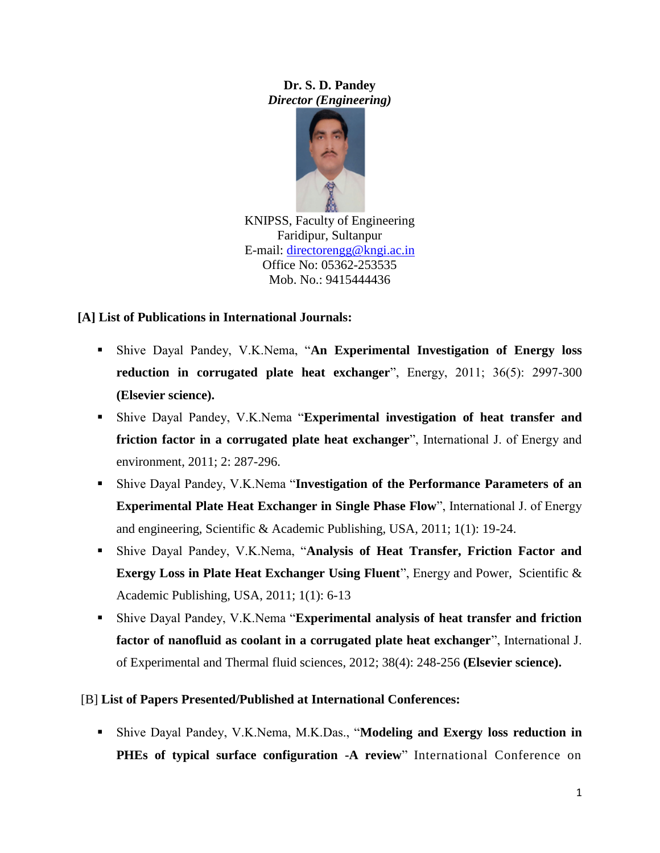**Dr. S. D. Pandey** *Director (Engineering)*



KNIPSS, Faculty of Engineering Faridipur, Sultanpur E-mail: [directorengg@kngi.ac.in](mailto:directorengg@kngi.ac.in) Office No: 05362-253535 Mob. No.: 9415444436

# **[A] List of Publications in International Journals:**

- Shive Dayal Pandey, V.K.Nema, "**An Experimental Investigation of Energy loss reduction in corrugated plate heat exchanger**", Energy, 2011; 36(5): 2997-300 **(Elsevier science).**
- Shive Dayal Pandey, V.K.Nema "**Experimental investigation of heat transfer and friction factor in a corrugated plate heat exchanger**", International J. of Energy and environment, 2011; 2: 287-296.
- Shive Dayal Pandey, V.K.Nema "**Investigation of the Performance Parameters of an Experimental Plate Heat Exchanger in Single Phase Flow**", International J. of Energy and engineering, Scientific & Academic Publishing, USA, 2011; 1(1): 19-24.
- Shive Dayal Pandey, V.K.Nema, "**Analysis of Heat Transfer, Friction Factor and Exergy Loss in Plate Heat Exchanger Using Fluent**", Energy and Power, Scientific & Academic Publishing, USA, 2011; 1(1): 6-13
- Shive Dayal Pandey, V.K.Nema "**Experimental analysis of heat transfer and friction factor of nanofluid as coolant in a corrugated plate heat exchanger**", International J. of Experimental and Thermal fluid sciences, 2012; 38(4): 248-256 **(Elsevier science).**

## [B] **List of Papers Presented/Published at International Conferences:**

 Shive Dayal Pandey, V.K.Nema, M.K.Das., "**Modeling and Exergy loss reduction in PHEs of typical surface configuration -A review**" International Conference on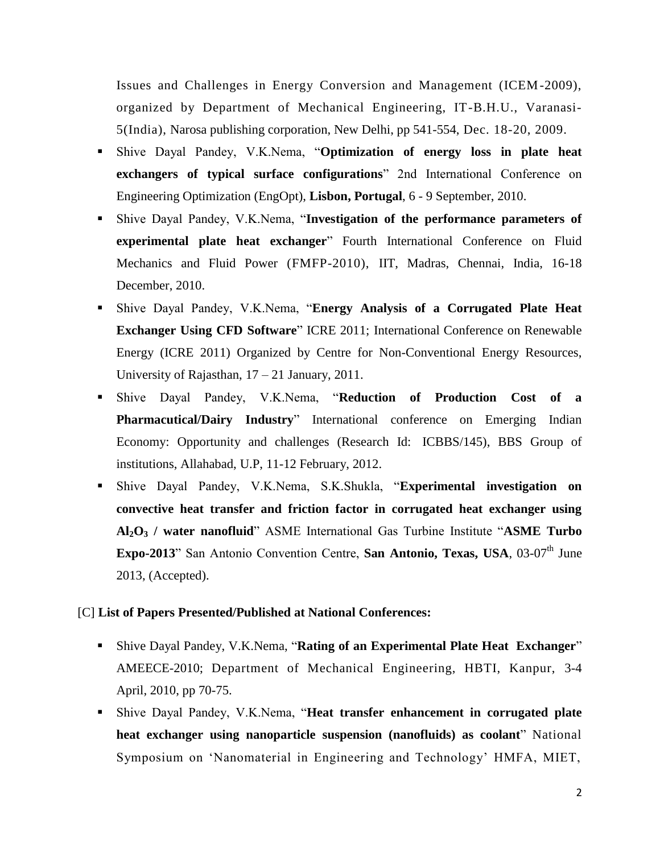Issues and Challenges in Energy Conversion and Management (ICEM-2009), organized by Department of Mechanical Engineering, IT-B.H.U., Varanasi-5(India), Narosa publishing corporation, New Delhi, pp 541-554, Dec. 18-20, 2009.

- Shive Dayal Pandey, V.K.Nema, "**Optimization of energy loss in plate heat exchangers of typical surface configurations**" 2nd International Conference on Engineering Optimization (EngOpt), **Lisbon, Portugal**, 6 - 9 September, 2010.
- Shive Dayal Pandey, V.K.Nema, "**Investigation of the performance parameters of experimental plate heat exchanger**" Fourth International Conference on Fluid Mechanics and Fluid Power (FMFP-2010), IIT, Madras, Chennai, India, 16-18 December, 2010.
- Shive Dayal Pandey, V.K.Nema, "**Energy Analysis of a Corrugated Plate Heat Exchanger Using CFD Software**" ICRE 2011; International Conference on Renewable Energy (ICRE 2011) Organized by Centre for Non-Conventional Energy Resources, University of Rajasthan, 17 – 21 January, 2011.
- Shive Dayal Pandey, V.K.Nema, "**Reduction of Production Cost of a Pharmacutical/Dairy Industry**" International conference on Emerging Indian Economy: Opportunity and challenges (Research Id: ICBBS/145), BBS Group of institutions, Allahabad, U.P, 11-12 February, 2012.
- Shive Dayal Pandey, V.K.Nema, S.K.Shukla, "**Experimental investigation on convective heat transfer and friction factor in corrugated heat exchanger using Al2O<sup>3</sup> / water nanofluid**" ASME International Gas Turbine Institute "**ASME Turbo Expo-2013**" San Antonio Convention Centre, San Antonio, Texas, USA, 03-07<sup>th</sup> June 2013, (Accepted).

### [C] **List of Papers Presented/Published at National Conferences:**

- Shive Dayal Pandey, V.K.Nema, "**Rating of an Experimental Plate Heat Exchanger**" AMEECE-2010; Department of Mechanical Engineering, HBTI, Kanpur, 3-4 April, 2010, pp 70-75.
- Shive Dayal Pandey, V.K.Nema, "**Heat transfer enhancement in corrugated plate heat exchanger using nanoparticle suspension (nanofluids) as coolant**" National Symposium on "Nanomaterial in Engineering and Technology" HMFA, MIET,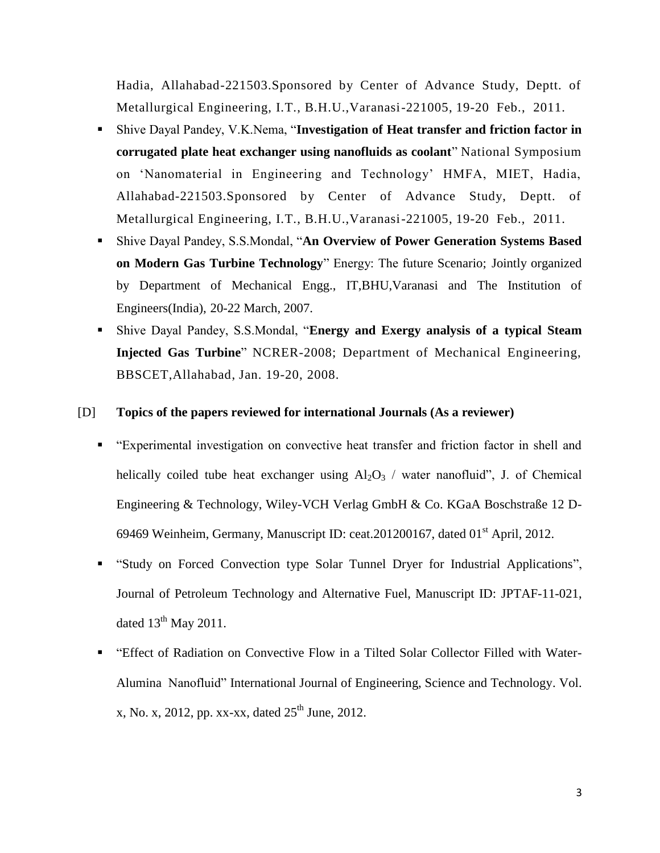Hadia, Allahabad-221503.Sponsored by Center of Advance Study, Deptt. of Metallurgical Engineering, I.T., B.H.U.,Varanasi-221005, 19-20 Feb., 2011.

- Shive Dayal Pandey, V.K.Nema, "**Investigation of Heat transfer and friction factor in corrugated plate heat exchanger using nanofluids as coolant**" National Symposium on "Nanomaterial in Engineering and Technology" HMFA, MIET, Hadia, Allahabad-221503.Sponsored by Center of Advance Study, Deptt. of Metallurgical Engineering, I.T., B.H.U.,Varanasi-221005, 19-20 Feb., 2011.
- Shive Dayal Pandey, S.S.Mondal, "**An Overview of Power Generation Systems Based on Modern Gas Turbine Technology**" Energy: The future Scenario; Jointly organized by Department of Mechanical Engg., IT,BHU,Varanasi and The Institution of Engineers(India), 20-22 March, 2007.
- Shive Dayal Pandey, S.S.Mondal, "**Energy and Exergy analysis of a typical Steam Injected Gas Turbine**" NCRER-2008; Department of Mechanical Engineering, BBSCET,Allahabad, Jan. 19-20, 2008.

#### [D] **Topics of the papers reviewed for international Journals (As a reviewer)**

- "Experimental investigation on convective heat transfer and friction factor in shell and helically coiled tube heat exchanger using  $Al_2O_3$  / water nanofluid", J. of Chemical Engineering & Technology, Wiley-VCH Verlag GmbH & Co. KGaA Boschstraße 12 D-69469 Weinheim, Germany, Manuscript ID: ceat.201200167, dated 01<sup>st</sup> April, 2012.
- "Study on Forced Convection type Solar Tunnel Dryer for Industrial Applications", Journal of Petroleum Technology and Alternative Fuel, Manuscript ID: JPTAF-11-021, dated  $13^{th}$  May 2011.
- "Effect of Radiation on Convective Flow in a Tilted Solar Collector Filled with Water-Alumina Nanofluid" International Journal of Engineering, Science and Technology. Vol. x, No. x, 2012, pp. xx-xx, dated  $25^{th}$  June, 2012.